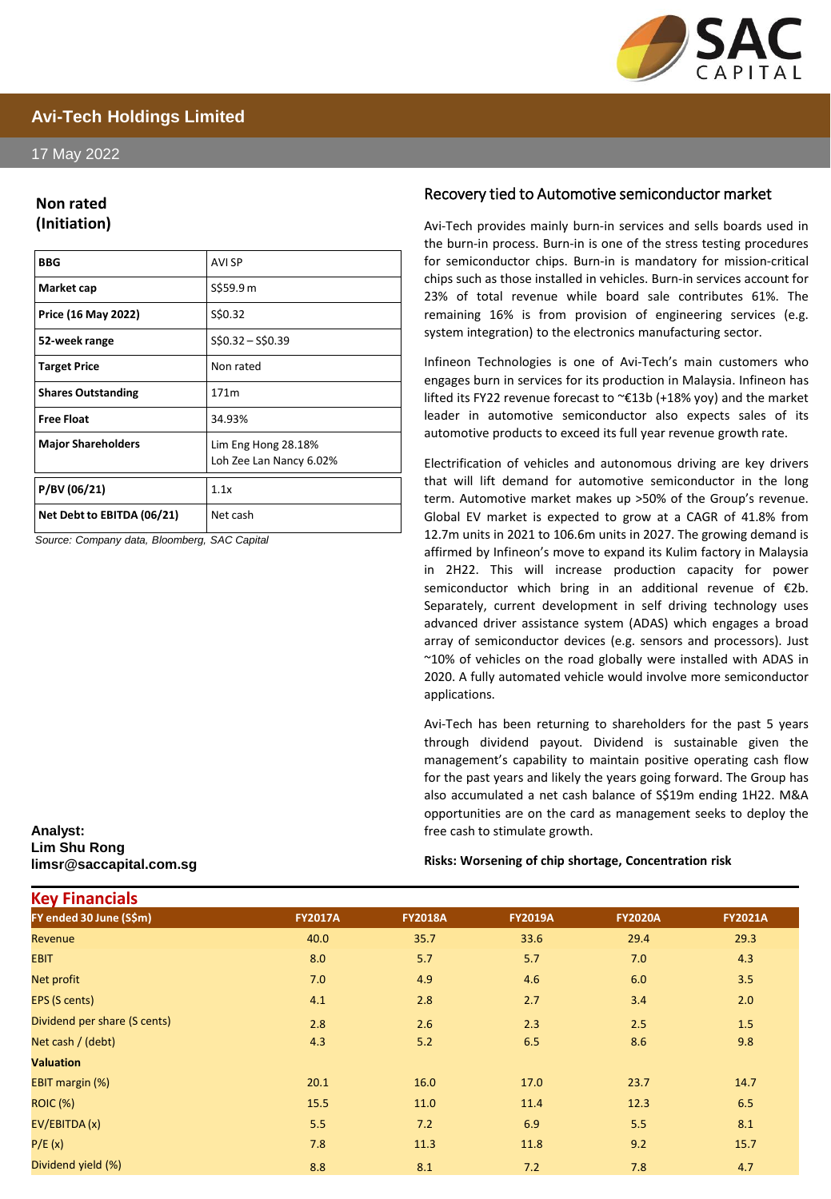

# **Avi-Tech Holdings Limited**

#### 17 May 2022

### **Non rated (Initiation)**

| <b>BBG</b>                 | AVI SP                                         |
|----------------------------|------------------------------------------------|
| Market cap                 | S\$59.9 m                                      |
| Price (16 May 2022)        | S\$0.32                                        |
| 52-week range              | $$50.32 - $50.39$                              |
| <b>Target Price</b>        | Non rated                                      |
| <b>Shares Outstanding</b>  | 171m                                           |
| <b>Free Float</b>          | 34.93%                                         |
| <b>Major Shareholders</b>  | Lim Eng Hong 28.18%<br>Loh Zee Lan Nancy 6.02% |
| P/BV (06/21)               | 1.1x                                           |
| Net Debt to EBITDA (06/21) | Net cash                                       |

*Source: Company data, Bloomberg, SAC Capital*

#### **Analyst: Lim Shu Rong limsr@saccapital.com.sg**

**Key Financials**

#### Recovery tied to Automotive semiconductor market

Avi-Tech provides mainly burn-in services and sells boards used in the burn-in process. Burn-in is one of the stress testing procedures for semiconductor chips. Burn-in is mandatory for mission-critical chips such as those installed in vehicles. Burn-in services account for 23% of total revenue while board sale contributes 61%. The remaining 16% is from provision of engineering services (e.g. system integration) to the electronics manufacturing sector.

Infineon Technologies is one of Avi-Tech's main customers who engages burn in services for its production in Malaysia. Infineon has lifted its FY22 revenue forecast to ~€13b (+18% yoy) and the market leader in automotive semiconductor also expects sales of its automotive products to exceed its full year revenue growth rate.

Electrification of vehicles and autonomous driving are key drivers that will lift demand for automotive semiconductor in the long term. Automotive market makes up >50% of the Group's revenue. Global EV market is expected to grow at a CAGR of 41.8% from 12.7m units in 2021 to 106.6m units in 2027. The growing demand is affirmed by Infineon's move to expand its Kulim factory in Malaysia in 2H22. This will increase production capacity for power semiconductor which bring in an additional revenue of €2b. Separately, current development in self driving technology uses advanced driver assistance system (ADAS) which engages a broad array of semiconductor devices (e.g. sensors and processors). Just ~10% of vehicles on the road globally were installed with ADAS in 2020. A fully automated vehicle would involve more semiconductor applications.

Avi-Tech has been returning to shareholders for the past 5 years through dividend payout. Dividend is sustainable given the management's capability to maintain positive operating cash flow for the past years and likely the years going forward. The Group has also accumulated a net cash balance of S\$19m ending 1H22. M&A opportunities are on the card as management seeks to deploy the free cash to stimulate growth.

#### **Risks: Worsening of chip shortage, Concentration risk**

| <b>NGY LIHAHULAD</b>         |                |                |                |                |                |
|------------------------------|----------------|----------------|----------------|----------------|----------------|
| FY ended 30 June (S\$m)      | <b>FY2017A</b> | <b>FY2018A</b> | <b>FY2019A</b> | <b>FY2020A</b> | <b>FY2021A</b> |
| Revenue                      | 40.0           | 35.7           | 33.6           | 29.4           | 29.3           |
| <b>EBIT</b>                  | 8.0            | 5.7            | 5.7            | 7.0            | 4.3            |
| Net profit                   | 7.0            | 4.9            | 4.6            | 6.0            | 3.5            |
| EPS (S cents)                | 4.1            | 2.8            | 2.7            | 3.4            | 2.0            |
| Dividend per share (S cents) | 2.8            | 2.6            | 2.3            | 2.5            | 1.5            |
| Net cash / (debt)            | 4.3            | 5.2            | 6.5            | 8.6            | 9.8            |
| <b>Valuation</b>             |                |                |                |                |                |
| EBIT margin (%)              | 20.1           | 16.0           | 17.0           | 23.7           | 14.7           |
| <b>ROIC (%)</b>              | 15.5           | 11.0           | 11.4           | 12.3           | 6.5            |
| EV/EBITDA (x)                | 5.5            | 7.2            | 6.9            | 5.5            | 8.1            |
| P/E(x)                       | 7.8            | 11.3           | 11.8           | 9.2            | 15.7           |
| Dividend yield (%)           | 8.8            | 8.1            | 7.2            | 7.8            | 4.7            |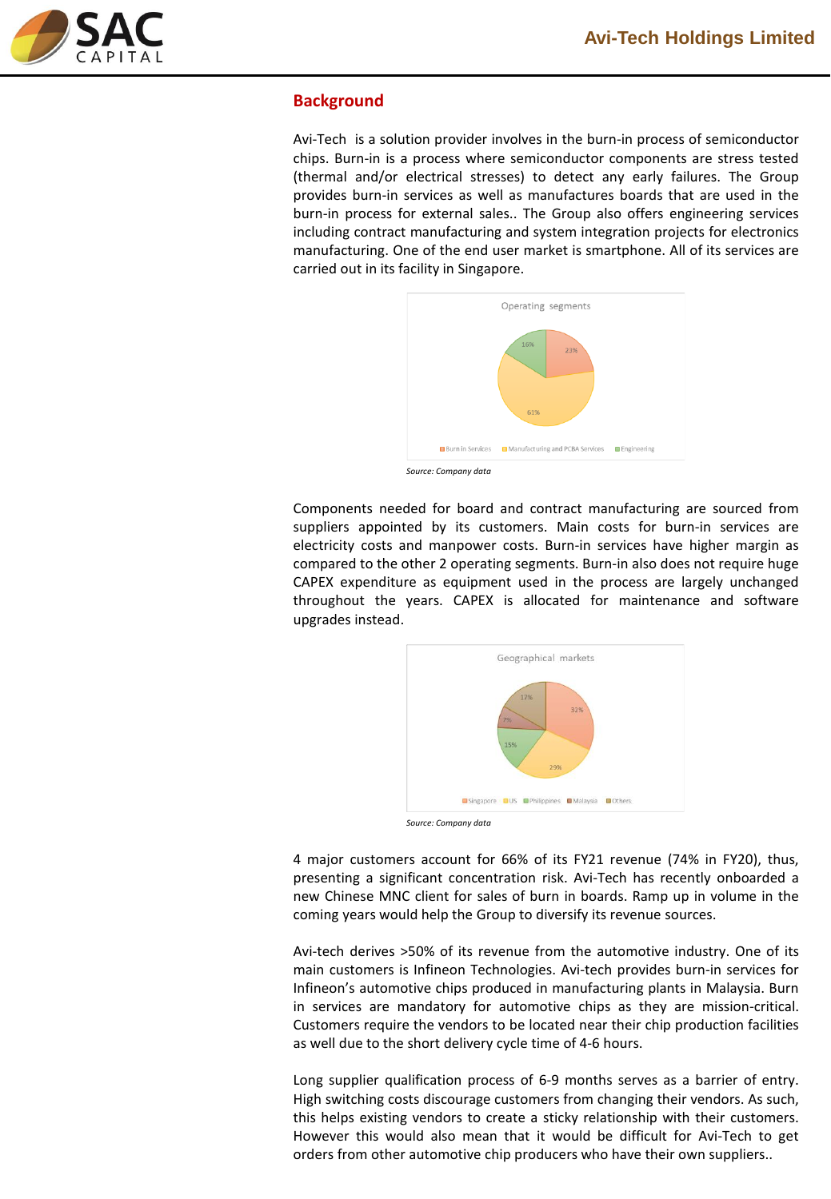

## **Background**

Avi-Tech is a solution provider involves in the burn-in process of semiconductor chips. Burn-in is a process where semiconductor components are stress tested (thermal and/or electrical stresses) to detect any early failures. The Group provides burn-in services as well as manufactures boards that are used in the burn-in process for external sales.. The Group also offers engineering services including contract manufacturing and system integration projects for electronics manufacturing. One of the end user market is smartphone. All of its services are carried out in its facility in Singapore.



Components needed for board and contract manufacturing are sourced from suppliers appointed by its customers. Main costs for burn-in services are electricity costs and manpower costs. Burn-in services have higher margin as compared to the other 2 operating segments. Burn-in also does not require huge CAPEX expenditure as equipment used in the process are largely unchanged throughout the years. CAPEX is allocated for maintenance and software upgrades instead.



*Source: Company data*

4 major customers account for 66% of its FY21 revenue (74% in FY20), thus, presenting a significant concentration risk. Avi-Tech has recently onboarded a new Chinese MNC client for sales of burn in boards. Ramp up in volume in the coming years would help the Group to diversify its revenue sources.

Avi-tech derives >50% of its revenue from the automotive industry. One of its main customers is Infineon Technologies. Avi-tech provides burn-in services for Infineon's automotive chips produced in manufacturing plants in Malaysia. Burn in services are mandatory for automotive chips as they are mission-critical. Customers require the vendors to be located near their chip production facilities as well due to the short delivery cycle time of 4-6 hours.

Long supplier qualification process of 6-9 months serves as a barrier of entry. High switching costs discourage customers from changing their vendors. As such, this helps existing vendors to create a sticky relationship with their customers. However this would also mean that it would be difficult for Avi-Tech to get orders from other automotive chip producers who have their own suppliers..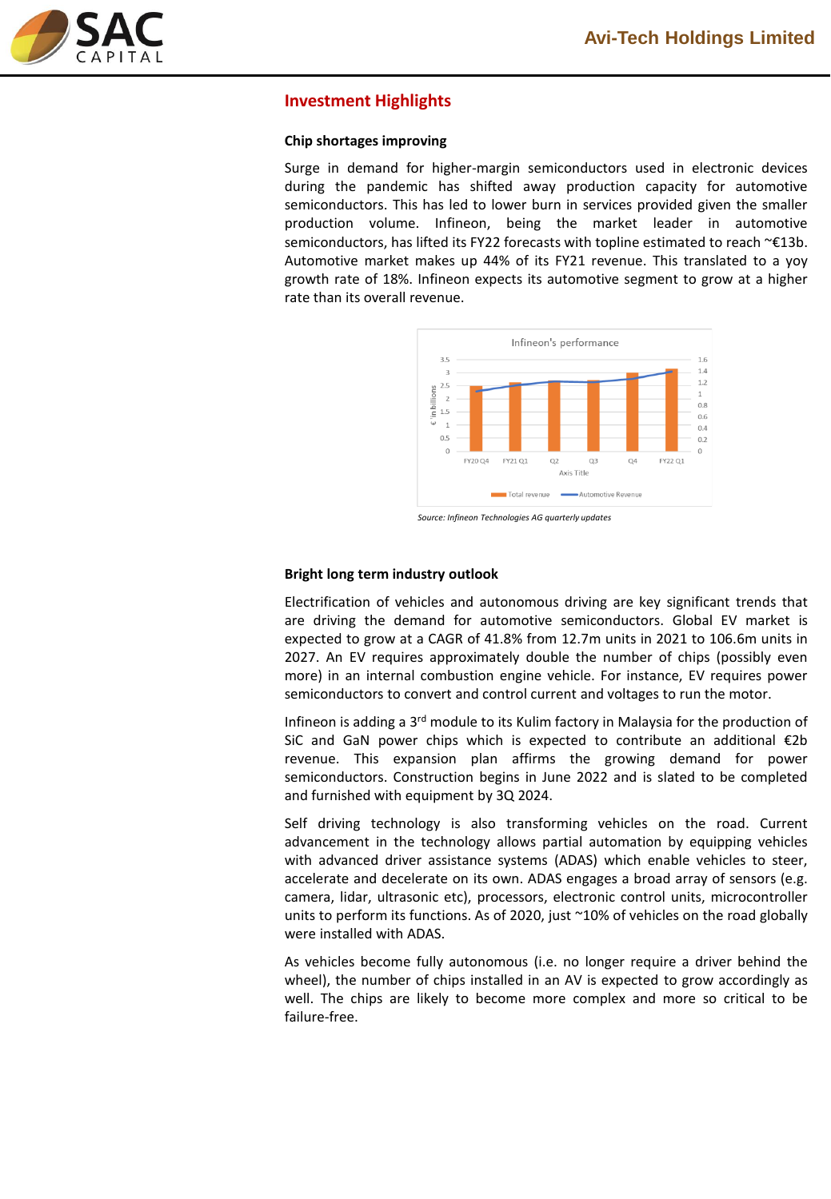

## **Investment Highlights**

#### **Chip shortages improving**

Surge in demand for higher-margin semiconductors used in electronic devices during the pandemic has shifted away production capacity for automotive semiconductors. This has led to lower burn in services provided given the smaller production volume. Infineon, being the market leader in automotive semiconductors, has lifted its FY22 forecasts with topline estimated to reach ~€13b. Automotive market makes up 44% of its FY21 revenue. This translated to a yoy growth rate of 18%. Infineon expects its automotive segment to grow at a higher rate than its overall revenue.



*Source: Infineon Technologies AG quarterly updates*

#### **Bright long term industry outlook**

Electrification of vehicles and autonomous driving are key significant trends that are driving the demand for automotive semiconductors. Global EV market is expected to grow at a CAGR of 41.8% from 12.7m units in 2021 to 106.6m units in 2027. An EV requires approximately double the number of chips (possibly even more) in an internal combustion engine vehicle. For instance, EV requires power semiconductors to convert and control current and voltages to run the motor.

Infineon is adding a 3<sup>rd</sup> module to its Kulim factory in Malaysia for the production of SiC and GaN power chips which is expected to contribute an additional €2b revenue. This expansion plan affirms the growing demand for power semiconductors. Construction begins in June 2022 and is slated to be completed and furnished with equipment by 3Q 2024.

Self driving technology is also transforming vehicles on the road. Current advancement in the technology allows partial automation by equipping vehicles with advanced driver assistance systems (ADAS) which enable vehicles to steer, accelerate and decelerate on its own. ADAS engages a broad array of sensors (e.g. camera, lidar, ultrasonic etc), processors, electronic control units, microcontroller units to perform its functions. As of 2020, just ~10% of vehicles on the road globally were installed with ADAS.

As vehicles become fully autonomous (i.e. no longer require a driver behind the wheel), the number of chips installed in an AV is expected to grow accordingly as well. The chips are likely to become more complex and more so critical to be failure-free.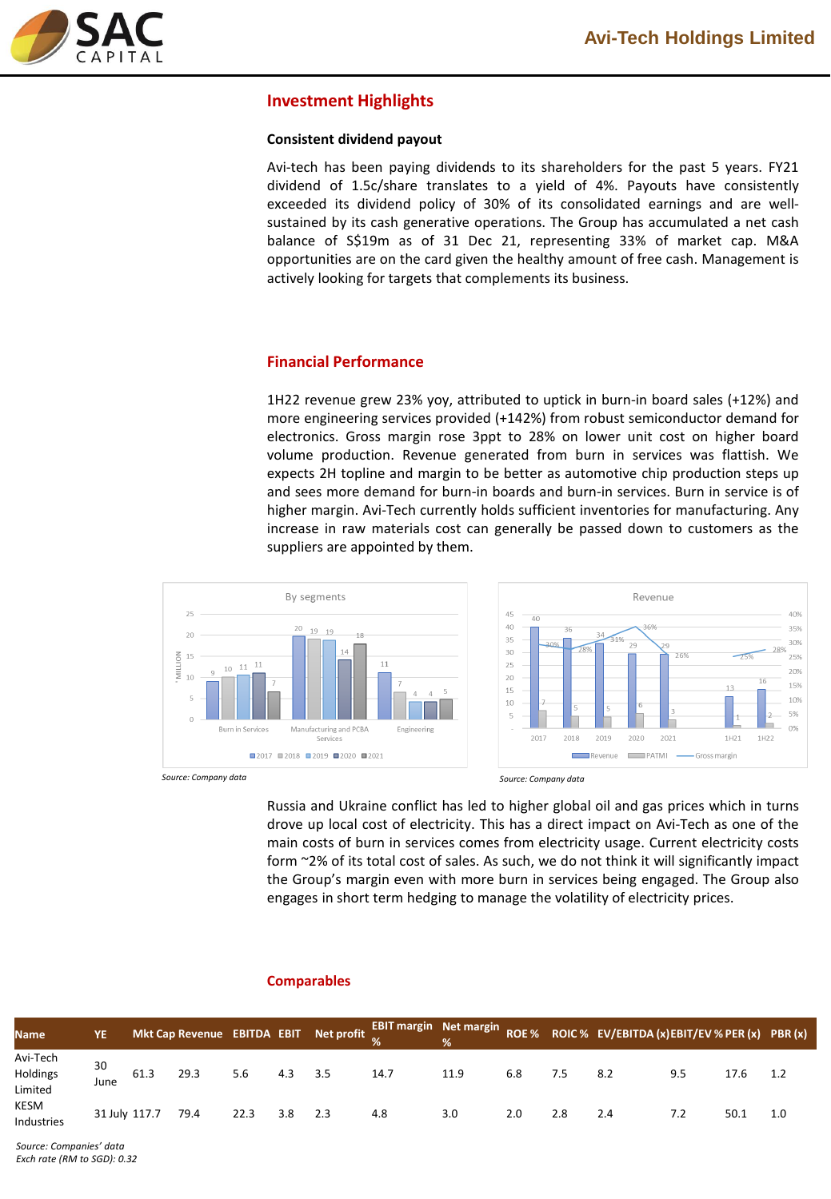

## **Investment Highlights**

#### **Consistent dividend payout**

Avi-tech has been paying dividends to its shareholders for the past 5 years. FY21 dividend of 1.5c/share translates to a yield of 4%. Payouts have consistently exceeded its dividend policy of 30% of its consolidated earnings and are wellsustained by its cash generative operations. The Group has accumulated a net cash balance of S\$19m as of 31 Dec 21, representing 33% of market cap. M&A opportunities are on the card given the healthy amount of free cash. Management is actively looking for targets that complements its business.

## **Financial Performance**

1H22 revenue grew 23% yoy, attributed to uptick in burn-in board sales (+12%) and more engineering services provided (+142%) from robust semiconductor demand for electronics. Gross margin rose 3ppt to 28% on lower unit cost on higher board volume production. Revenue generated from burn in services was flattish. We expects 2H topline and margin to be better as automotive chip production steps up and sees more demand for burn-in boards and burn-in services. Burn in service is of higher margin. Avi-Tech currently holds sufficient inventories for manufacturing. Any increase in raw materials cost can generally be passed down to customers as the suppliers are appointed by them.





**ROE % ROIC % EV/EBITDA (x)EBIT/EV % PER (x) PBR (x)**

*Source: Company data Source: Company data*

Russia and Ukraine conflict has led to higher global oil and gas prices which in turns drove up local cost of electricity. This has a direct impact on Avi-Tech as one of the main costs of burn in services comes from electricity usage. Current electricity costs form ~2% of its total cost of sales. As such, we do not think it will significantly impact the Group's margin even with more burn in services being engaged. The Group also engages in short term hedging to manage the volatility of electricity prices.

| <b>Name</b>                     | YE            |      |      |      |                 | Mkt Cap Revenue EBITDA EBIT Net profit $\frac{EBIT}{\alpha}$ Mkt Cap Revenue EBITDA EBIT Net profit $\frac{EBIT}{\alpha}$ Met margin |      |     |     | ROE % ROIC % EV/EBITDA (x) EBIT/EV % PER (x) PBI |     |      |     |
|---------------------------------|---------------|------|------|------|-----------------|--------------------------------------------------------------------------------------------------------------------------------------|------|-----|-----|--------------------------------------------------|-----|------|-----|
| Avi-Tech<br>Holdings<br>Limited | 30<br>June    | 61.3 | 29.3 | 5.6  | $4.3\qquad 3.5$ | 14.7                                                                                                                                 | 11.9 | 6.8 | 7.5 | 8.2                                              | 9.5 | 17.6 | 1.2 |
| KESM<br><b>Industries</b>       | 31 July 117.7 |      | 79.4 | 22.3 | $3.8$ 2.3       | 4.8                                                                                                                                  | 3.0  | 2.0 | 2.8 | 2.4                                              | 7.2 | 50.1 | 1.0 |

#### **Comparables**

*Source: Companies' data Exch rate (RM to SGD): 0.32*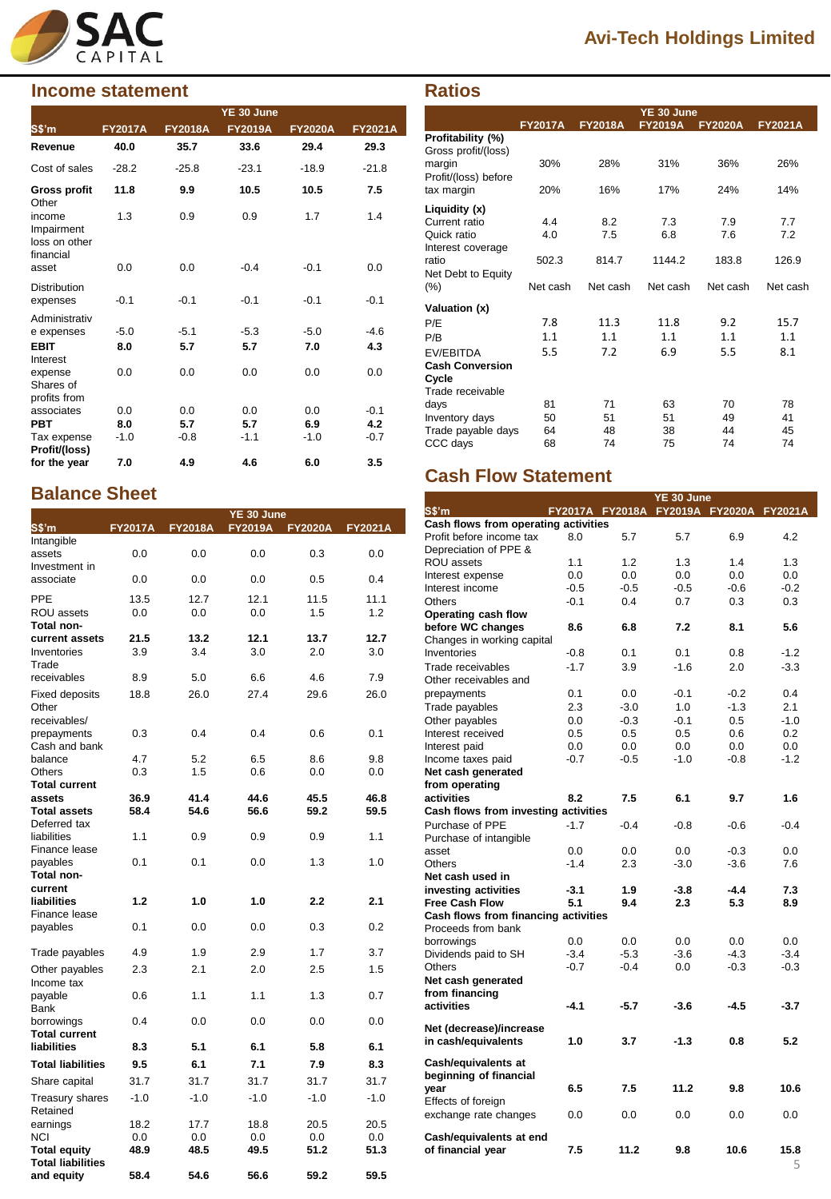

# **Income statement Ratios**

|                                                    |                |                | YE 30 June     |                |                |
|----------------------------------------------------|----------------|----------------|----------------|----------------|----------------|
| S\$'m                                              | <b>FY2017A</b> | <b>FY2018A</b> | <b>FY2019A</b> | <b>FY2020A</b> | <b>FY2021A</b> |
| Revenue                                            | 40.0           | 35.7           | 33.6           | 29.4           | 29.3           |
| Cost of sales                                      | $-28.2$        | $-25.8$        | $-23.1$        | $-18.9$        | $-21.8$        |
| Gross profit<br>Other                              | 11.8           | 9.9            | 10.5           | 10.5           | 7.5            |
| income<br>Impairment<br>loss on other<br>financial | 1.3            | 0.9            | 0.9            | 1.7            | 1.4            |
| asset                                              | 0.0            | 0.0            | $-0.4$         | $-0.1$         | 0.0            |
| <b>Distribution</b><br>expenses                    | $-0.1$         | $-0.1$         | $-0.1$         | $-0.1$         | $-0.1$         |
| Administrativ                                      |                |                |                |                |                |
| e expenses                                         | $-5.0$         | $-5.1$         | $-5.3$         | $-5.0$         | $-4.6$         |
| <b>EBIT</b><br>Interest                            | 8.0            | 5.7            | 5.7            | 7.0            | 4.3            |
| expense<br>Shares of<br>profits from               | 0.0            | 0.0            | 0.0            | 0.0            | 0.0            |
| associates                                         | 0.0            | 0.0            | 0.0            | 0.0            | $-0.1$         |
| <b>PBT</b>                                         | 8.0            | 5.7            | 5.7            | 6.9            | 4.2            |
| Tax expense<br>Profit/(loss)                       | $-1.0$         | $-0.8$         | $-1.1$         | $-1.0$         | $-0.7$         |
| for the year                                       | 7.0            | 4.9            | 4.6            | 6.0            | 3.5            |

# **Balance Sheet**

|                                                 |                |                | YE 30 June     |                |                |
|-------------------------------------------------|----------------|----------------|----------------|----------------|----------------|
| S\$'m                                           | <b>FY2017A</b> | <b>FY2018A</b> | <b>FY2019A</b> | <b>FY2020A</b> | <b>FY2021A</b> |
| Intangible<br>assets                            | 0.0            | 0.0            | 0.0            | 0.3            | 0.0            |
| Investment in<br>associate                      | 0.0            | 0.0            | 0.0            | 0.5            | 0.4            |
| PPE                                             | 13.5           | 12.7           | 12.1           | 11.5           | 11.1           |
| ROU assets<br>Total non-                        | 0.0            | 0.0            | 0.0            | 1.5            | 1.2            |
| current assets                                  | 21.5           | 13.2           | 12.1           | 13.7           | 12.7           |
| Inventories<br>Trade                            | 3.9            | 3.4            | 3.0            | 2.0            | 3.0            |
| receivables                                     | 8.9            | 5.0            | 6.6            | 4.6            | 7.9            |
| <b>Fixed deposits</b><br>Other<br>receivables/  | 18.8           | 26.0           | 27.4           | 29.6           | 26.0           |
| prepayments<br>Cash and bank                    | 0.3            | 0.4            | 0.4            | 0.6            | 0.1            |
| balance                                         | 4.7            | 5.2            | 6.5            | 8.6            | 9.8            |
| Others                                          | 0.3            | 1.5            | 0.6            | 0.0            | 0.0            |
| <b>Total current</b>                            |                |                |                |                |                |
| assets                                          | 36.9           | 41.4           | 44.6           | 45.5           | 46.8           |
| <b>Total assets</b>                             | 58.4           | 54.6           | 56.6           | 59.2           | 59.5           |
| Deferred tax<br>liabilities                     | 1.1            | 0.9            | 0.9            | 0.9            | 1.1            |
| Finance lease                                   |                |                |                |                |                |
| payables<br>Total non-                          | 0.1            | 0.1            | 0.0            | 1.3            | 1.0            |
| current                                         |                |                |                |                |                |
| liabilities<br>Finance lease                    | 1.2            | 1.0            | 1.0            | 2.2            | 2.1            |
| payables                                        | 0.1            | 0.0            | 0.0            | 0.3            | 0.2            |
| Trade payables                                  | 4.9            | 1.9            | 2.9            | 1.7            | 3.7            |
| Other payables<br>Income tax                    | 2.3            | 2.1            | 2.0            | 2.5            | 1.5            |
| payable<br>Bank                                 | 0.6            | 1.1            | 1.1            | 1.3            | 0.7            |
| borrowings<br><b>Total current</b>              | 0.4            | 0.0            | 0.0            | 0.0            | 0.0            |
| liabilities                                     | 8.3            | 5.1            | 6.1            | 5.8            | 6.1            |
| <b>Total liabilities</b>                        | 9.5            | 6.1            | 7.1            | 7.9            | 8.3            |
| Share capital                                   | 31.7           | 31.7           | 31.7           | 31.7           | 31.7           |
| <b>Treasury shares</b><br>Retained              | -1.0           | $-1.0$         | $-1.0$         | $-1.0$         | $-1.0$         |
| earnings                                        | 18.2           | 17.7           | 18.8           | 20.5           | 20.5           |
| NCI                                             | 0.0            | 0.0            | 0.0            | 0.0            | 0.0            |
| <b>Total equity</b><br><b>Total liabilities</b> | 48.9           | 48.5           | 49.5           | 51.2           | 51.3           |
| and equity                                      | 58.4           | 54.6           | 56.6           | 59.2           | 59.5           |

# **Avi-Tech Holdings Limited**

|                                          | YE 30 June     |                |                |                |                |  |  |  |
|------------------------------------------|----------------|----------------|----------------|----------------|----------------|--|--|--|
|                                          | <b>FY2017A</b> | <b>FY2018A</b> | <b>FY2019A</b> | <b>FY2020A</b> | <b>FY2021A</b> |  |  |  |
| Profitability (%)<br>Gross profit/(loss) |                |                |                |                |                |  |  |  |
| margin<br>Profit/(loss) before           | 30%            | 28%            | 31%            | 36%            | 26%            |  |  |  |
| tax margin                               | 20%            | 16%            | 17%            | 24%            | 14%            |  |  |  |
| Liquidity (x)                            |                |                |                |                |                |  |  |  |
| Current ratio                            | 4.4            | 8.2            | 7.3            | 7.9            | 7.7            |  |  |  |
| Quick ratio<br>Interest coverage         | 4.0            | 7.5            | 6.8            | 7.6            | 7.2            |  |  |  |
| ratio<br>Net Debt to Equity              | 502.3          | 814.7          | 1144.2         | 183.8          | 126.9          |  |  |  |
| $(\%)$                                   | Net cash       | Net cash       | Net cash       | Net cash       | Net cash       |  |  |  |
| Valuation (x)                            |                |                |                |                |                |  |  |  |
| P/E                                      | 7.8            | 11.3           | 11.8           | 9.2            | 15.7           |  |  |  |
| P/B                                      | 1.1            | 1.1            | 1.1            | 1.1            | 1.1            |  |  |  |
| EV/EBITDA                                | 5.5            | 7.2            | 6.9            | 5.5            | 8.1            |  |  |  |
| <b>Cash Conversion</b>                   |                |                |                |                |                |  |  |  |
| Cycle                                    |                |                |                |                |                |  |  |  |
| Trade receivable                         |                |                |                |                |                |  |  |  |
| days                                     | 81             | 71             | 63             | 70             | 78             |  |  |  |
| Inventory days                           | 50             | 51             | 51             | 49             | 41             |  |  |  |
| Trade payable days                       | 64             | 48             | 38             | 44             | 45             |  |  |  |
| CCC days                                 | 68             | 74             | 75             | 74             | 74             |  |  |  |

# **Cash Flow Statement**

|                                      |                                         |        | YE 30 June |        |        |
|--------------------------------------|-----------------------------------------|--------|------------|--------|--------|
| S\$'m                                | FY2017A FY2018A FY2019A FY2020A FY2021A |        |            |        |        |
| Cash flows from operating activities |                                         |        |            |        |        |
| Profit before income tax             | 8.0                                     | 5.7    | 5.7        | 6.9    | 4.2    |
| Depreciation of PPE &                |                                         |        |            |        |        |
| ROU assets                           | 1.1                                     | 1.2    | 1.3        | 1.4    | 1.3    |
| Interest expense                     | 0.0                                     | 0.0    | 0.0        | 0.0    | 0.0    |
| Interest income                      | $-0.5$                                  | $-0.5$ | $-0.5$     | $-0.6$ | $-0.2$ |
| <b>Others</b>                        | $-0.1$                                  | 0.4    | 0.7        | 0.3    | 0.3    |
| Operating cash flow                  |                                         |        |            |        |        |
| before WC changes                    | 8.6                                     | 6.8    | 7.2        | 8.1    | 5.6    |
| Changes in working capital           |                                         |        |            |        |        |
| Inventories                          | $-0.8$                                  | 0.1    | 0.1        | 0.8    | $-1.2$ |
| Trade receivables                    | $-1.7$                                  | 3.9    | $-1.6$     | 2.0    | $-3.3$ |
| Other receivables and                |                                         |        |            |        |        |
| prepayments                          | 0.1                                     | 0.0    | $-0.1$     | $-0.2$ | 0.4    |
| Trade payables                       | 2.3                                     | $-3.0$ | 1.0        | $-1.3$ | 2.1    |
| Other payables                       | 0.0                                     | $-0.3$ | $-0.1$     | 0.5    | $-1.0$ |
| Interest received                    | 0.5                                     | 0.5    | 0.5        | 0.6    | 0.2    |
| Interest paid                        | 0.0                                     | 0.0    | 0.0        | 0.0    | 0.0    |
| Income taxes paid                    | $-0.7$                                  | $-0.5$ | $-1.0$     | $-0.8$ | $-1.2$ |
| Net cash generated                   |                                         |        |            |        |        |
| from operating                       |                                         |        |            |        |        |
| activities                           | 8.2                                     | 7.5    | 6.1        | 9.7    | 1.6    |
| Cash flows from investing activities |                                         |        |            |        |        |
| Purchase of PPE                      | $-1.7$                                  |        |            |        | $-0.4$ |
|                                      |                                         | $-0.4$ | $-0.8$     | $-0.6$ |        |
| Purchase of intangible               |                                         |        |            |        |        |
| asset                                | 0.0                                     | 0.0    | 0.0        | $-0.3$ | 0.0    |
| <b>Others</b>                        | $-1.4$                                  | 2.3    | $-3.0$     | $-3.6$ | 7.6    |
| Net cash used in                     |                                         |        |            |        |        |
| investing activities                 | $-3.1$                                  | 1.9    | $-3.8$     | $-4.4$ | 7.3    |
| <b>Free Cash Flow</b>                | 5.1                                     | 9.4    | 2.3        | 5.3    | 8.9    |
| Cash flows from financing activities |                                         |        |            |        |        |
| Proceeds from bank                   |                                         |        |            |        |        |
| borrowings                           | 0.0                                     | 0.0    | 0.0        | 0.0    | 0.0    |
| Dividends paid to SH                 | $-3.4$                                  | -5.3   | $-3.6$     | $-4.3$ | $-3.4$ |
| <b>Others</b>                        | $-0.7$                                  | $-0.4$ | 0.0        | $-0.3$ | $-0.3$ |
| Net cash generated                   |                                         |        |            |        |        |
| from financing                       |                                         |        |            |        |        |
| activities                           | $-4.1$                                  | $-5.7$ | $-3.6$     | $-4.5$ | $-3.7$ |
| Net (decrease)/increase              |                                         |        |            |        |        |
| in cash/equivalents                  | 1.0                                     | 3.7    | $-1.3$     | 0.8    | 5.2    |
|                                      |                                         |        |            |        |        |
| Cash/equivalents at                  |                                         |        |            |        |        |
| beginning of financial               |                                         |        |            |        |        |
| vear                                 | 6.5                                     | 7.5    | 11.2       | 9.8    | 10.6   |
| Effects of foreign                   |                                         |        |            |        |        |
| exchange rate changes                | 0.0                                     | 0.0    | 0.0        | 0.0    | 0.0    |
|                                      |                                         |        |            |        |        |
| Cash/equivalents at end              |                                         |        |            |        |        |
| of financial year                    | 7.5                                     | 11.2   | 9.8        | 10.6   | 15.8   |
|                                      |                                         |        |            |        | 5      |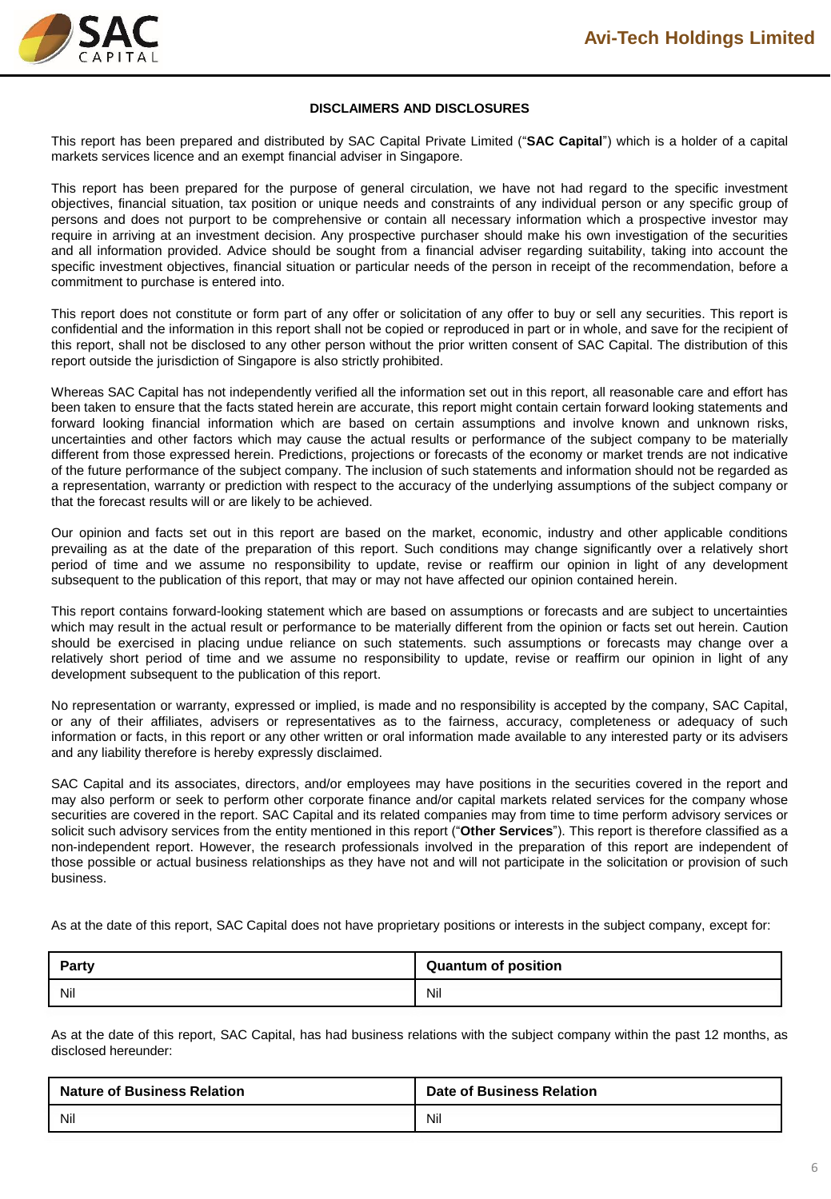

#### **DISCLAIMERS AND DISCLOSURES**

This report has been prepared and distributed by SAC Capital Private Limited ("**SAC Capital**") which is a holder of a capital markets services licence and an exempt financial adviser in Singapore.

This report has been prepared for the purpose of general circulation, we have not had regard to the specific investment objectives, financial situation, tax position or unique needs and constraints of any individual person or any specific group of persons and does not purport to be comprehensive or contain all necessary information which a prospective investor may require in arriving at an investment decision. Any prospective purchaser should make his own investigation of the securities and all information provided. Advice should be sought from a financial adviser regarding suitability, taking into account the specific investment objectives, financial situation or particular needs of the person in receipt of the recommendation, before a commitment to purchase is entered into.

This report does not constitute or form part of any offer or solicitation of any offer to buy or sell any securities. This report is confidential and the information in this report shall not be copied or reproduced in part or in whole, and save for the recipient of this report, shall not be disclosed to any other person without the prior written consent of SAC Capital. The distribution of this report outside the jurisdiction of Singapore is also strictly prohibited.

Whereas SAC Capital has not independently verified all the information set out in this report, all reasonable care and effort has been taken to ensure that the facts stated herein are accurate, this report might contain certain forward looking statements and forward looking financial information which are based on certain assumptions and involve known and unknown risks, uncertainties and other factors which may cause the actual results or performance of the subject company to be materially different from those expressed herein. Predictions, projections or forecasts of the economy or market trends are not indicative of the future performance of the subject company. The inclusion of such statements and information should not be regarded as a representation, warranty or prediction with respect to the accuracy of the underlying assumptions of the subject company or that the forecast results will or are likely to be achieved.

Our opinion and facts set out in this report are based on the market, economic, industry and other applicable conditions prevailing as at the date of the preparation of this report. Such conditions may change significantly over a relatively short period of time and we assume no responsibility to update, revise or reaffirm our opinion in light of any development subsequent to the publication of this report, that may or may not have affected our opinion contained herein.

This report contains forward-looking statement which are based on assumptions or forecasts and are subject to uncertainties which may result in the actual result or performance to be materially different from the opinion or facts set out herein. Caution should be exercised in placing undue reliance on such statements. such assumptions or forecasts may change over a relatively short period of time and we assume no responsibility to update, revise or reaffirm our opinion in light of any development subsequent to the publication of this report.

No representation or warranty, expressed or implied, is made and no responsibility is accepted by the company, SAC Capital, or any of their affiliates, advisers or representatives as to the fairness, accuracy, completeness or adequacy of such information or facts, in this report or any other written or oral information made available to any interested party or its advisers and any liability therefore is hereby expressly disclaimed.

SAC Capital and its associates, directors, and/or employees may have positions in the securities covered in the report and may also perform or seek to perform other corporate finance and/or capital markets related services for the company whose securities are covered in the report. SAC Capital and its related companies may from time to time perform advisory services or solicit such advisory services from the entity mentioned in this report ("**Other Services**"). This report is therefore classified as a non-independent report. However, the research professionals involved in the preparation of this report are independent of those possible or actual business relationships as they have not and will not participate in the solicitation or provision of such business.

As at the date of this report, SAC Capital does not have proprietary positions or interests in the subject company, except for:

| <b>Party</b> | <b>Quantum of position</b> |
|--------------|----------------------------|
| Nil          | Nil                        |

As at the date of this report, SAC Capital, has had business relations with the subject company within the past 12 months, as disclosed hereunder:

| <b>Nature of Business Relation</b> | <b>Date of Business Relation</b> |  |  |
|------------------------------------|----------------------------------|--|--|
| Nil                                | Nil                              |  |  |